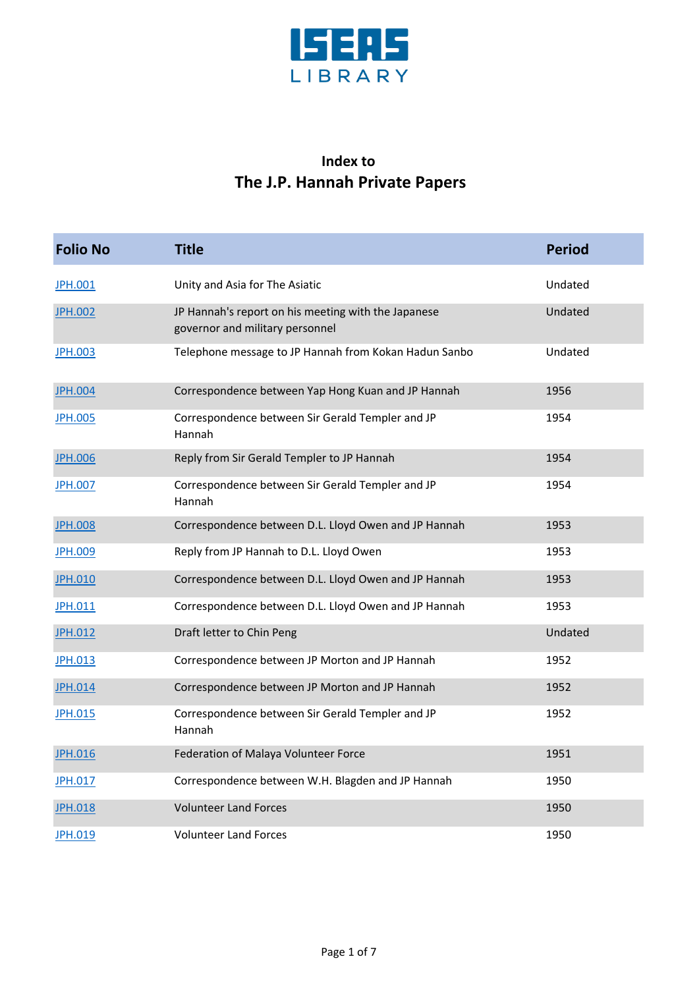

## **Index to The J.P. Hannah Private Papers**

| <b>Folio No</b> | <b>Title</b>                                                                           | <b>Period</b> |
|-----------------|----------------------------------------------------------------------------------------|---------------|
| JPH.001         | Unity and Asia for The Asiatic                                                         | Undated       |
| <b>JPH.002</b>  | JP Hannah's report on his meeting with the Japanese<br>governor and military personnel | Undated       |
| <b>JPH.003</b>  | Telephone message to JP Hannah from Kokan Hadun Sanbo                                  | Undated       |
| <b>JPH.004</b>  | Correspondence between Yap Hong Kuan and JP Hannah                                     | 1956          |
| <b>JPH.005</b>  | Correspondence between Sir Gerald Templer and JP<br>Hannah                             | 1954          |
| <b>JPH.006</b>  | Reply from Sir Gerald Templer to JP Hannah                                             | 1954          |
| <b>JPH.007</b>  | Correspondence between Sir Gerald Templer and JP<br>Hannah                             | 1954          |
| <b>JPH.008</b>  | Correspondence between D.L. Lloyd Owen and JP Hannah                                   | 1953          |
| <b>JPH.009</b>  | Reply from JP Hannah to D.L. Lloyd Owen                                                | 1953          |
| <b>JPH.010</b>  | Correspondence between D.L. Lloyd Owen and JP Hannah                                   | 1953          |
| JPH.011         | Correspondence between D.L. Lloyd Owen and JP Hannah                                   | 1953          |
| <b>JPH.012</b>  | Draft letter to Chin Peng                                                              | Undated       |
| <b>JPH.013</b>  | Correspondence between JP Morton and JP Hannah                                         | 1952          |
| <b>JPH.014</b>  | Correspondence between JP Morton and JP Hannah                                         | 1952          |
| <b>JPH.015</b>  | Correspondence between Sir Gerald Templer and JP<br>Hannah                             | 1952          |
| <b>JPH.016</b>  | Federation of Malaya Volunteer Force                                                   | 1951          |
| <b>JPH.017</b>  | Correspondence between W.H. Blagden and JP Hannah                                      | 1950          |
| <b>JPH.018</b>  | <b>Volunteer Land Forces</b>                                                           | 1950          |
| JPH.019         | <b>Volunteer Land Forces</b>                                                           | 1950          |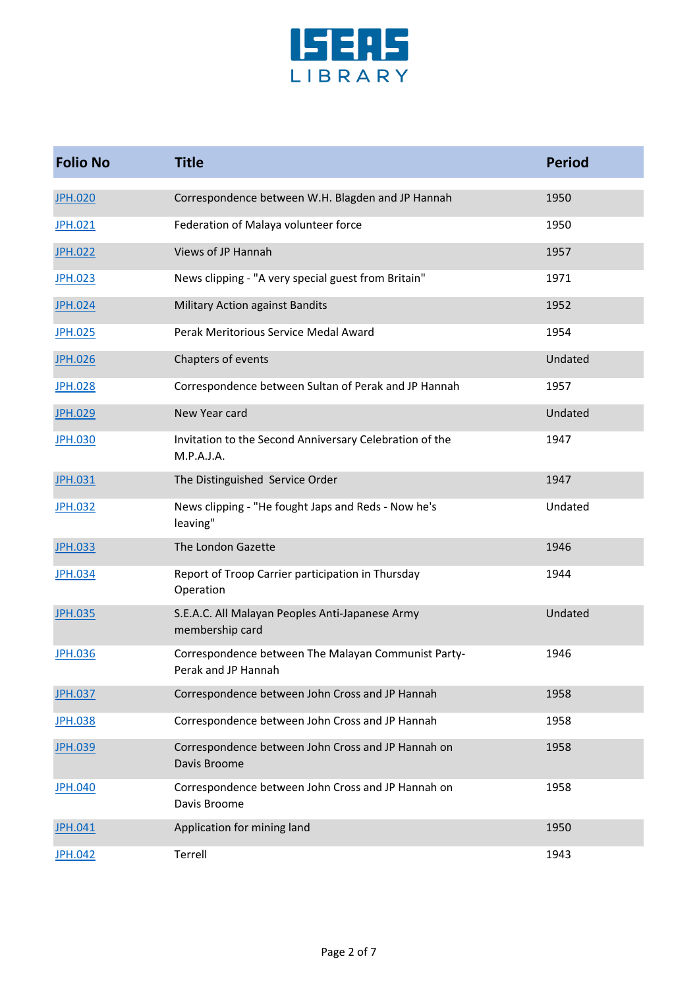

| <b>Folio No</b> | <b>Title</b>                                                               | <b>Period</b> |
|-----------------|----------------------------------------------------------------------------|---------------|
| <b>JPH.020</b>  | Correspondence between W.H. Blagden and JP Hannah                          | 1950          |
| JPH.021         | Federation of Malaya volunteer force                                       | 1950          |
| <b>JPH.022</b>  | Views of JP Hannah                                                         | 1957          |
| <b>JPH.023</b>  | News clipping - "A very special guest from Britain"                        | 1971          |
| <b>JPH.024</b>  | Military Action against Bandits                                            | 1952          |
| <b>JPH.025</b>  | Perak Meritorious Service Medal Award                                      | 1954          |
| <b>JPH.026</b>  | Chapters of events                                                         | Undated       |
| <b>JPH.028</b>  | Correspondence between Sultan of Perak and JP Hannah                       | 1957          |
| <b>JPH.029</b>  | New Year card                                                              | Undated       |
| <b>JPH.030</b>  | Invitation to the Second Anniversary Celebration of the<br>M.P.A.J.A.      | 1947          |
| <b>JPH.031</b>  | The Distinguished Service Order                                            | 1947          |
| <b>JPH.032</b>  | News clipping - "He fought Japs and Reds - Now he's<br>leaving"            | Undated       |
| <b>JPH.033</b>  | The London Gazette                                                         | 1946          |
| <b>JPH.034</b>  | Report of Troop Carrier participation in Thursday<br>Operation             | 1944          |
| <b>JPH.035</b>  | S.E.A.C. All Malayan Peoples Anti-Japanese Army<br>membership card         | Undated       |
| <b>JPH.036</b>  | Correspondence between The Malayan Communist Party-<br>Perak and JP Hannah | 1946          |
| <b>JPH.037</b>  | Correspondence between John Cross and JP Hannah                            | 1958          |
| <b>JPH.038</b>  | Correspondence between John Cross and JP Hannah                            | 1958          |
| <b>JPH.039</b>  | Correspondence between John Cross and JP Hannah on<br>Davis Broome         | 1958          |
| <b>JPH.040</b>  | Correspondence between John Cross and JP Hannah on<br>Davis Broome         | 1958          |
| <b>JPH.041</b>  | Application for mining land                                                | 1950          |
| <b>JPH.042</b>  | Terrell                                                                    | 1943          |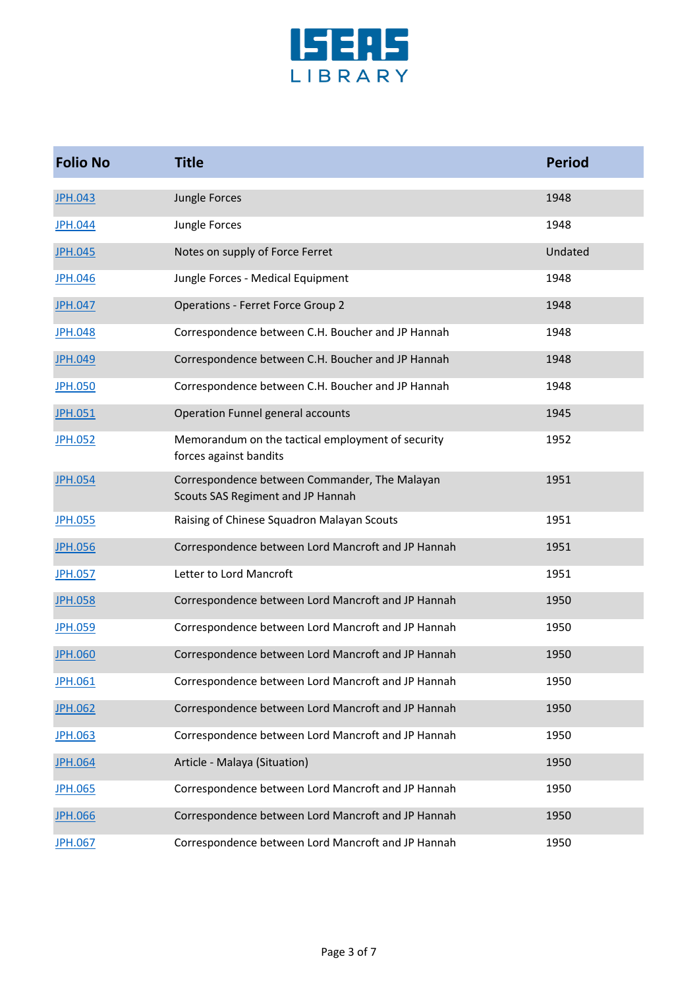

| <b>Folio No</b> | <b>Title</b>                                                                       | <b>Period</b> |
|-----------------|------------------------------------------------------------------------------------|---------------|
| <b>JPH.043</b>  | Jungle Forces                                                                      | 1948          |
| <b>JPH.044</b>  | Jungle Forces                                                                      | 1948          |
| <b>JPH.045</b>  | Notes on supply of Force Ferret                                                    | Undated       |
| <b>JPH.046</b>  | Jungle Forces - Medical Equipment                                                  | 1948          |
| <b>JPH.047</b>  | <b>Operations - Ferret Force Group 2</b>                                           | 1948          |
| <b>JPH.048</b>  | Correspondence between C.H. Boucher and JP Hannah                                  | 1948          |
| <b>JPH.049</b>  | Correspondence between C.H. Boucher and JP Hannah                                  | 1948          |
| <b>JPH.050</b>  | Correspondence between C.H. Boucher and JP Hannah                                  | 1948          |
| <b>JPH.051</b>  | Operation Funnel general accounts                                                  | 1945          |
| <b>JPH.052</b>  | Memorandum on the tactical employment of security<br>forces against bandits        | 1952          |
| <b>JPH.054</b>  | Correspondence between Commander, The Malayan<br>Scouts SAS Regiment and JP Hannah | 1951          |
| <b>JPH.055</b>  | Raising of Chinese Squadron Malayan Scouts                                         | 1951          |
| <b>JPH.056</b>  | Correspondence between Lord Mancroft and JP Hannah                                 | 1951          |
| <b>JPH.057</b>  | Letter to Lord Mancroft                                                            | 1951          |
| <b>JPH.058</b>  | Correspondence between Lord Mancroft and JP Hannah                                 | 1950          |
| <b>JPH.059</b>  | Correspondence between Lord Mancroft and JP Hannah                                 | 1950          |
| <b>JPH.060</b>  | Correspondence between Lord Mancroft and JP Hannah                                 | 1950          |
| <b>JPH.061</b>  | Correspondence between Lord Mancroft and JP Hannah                                 | 1950          |
| <b>JPH.062</b>  | Correspondence between Lord Mancroft and JP Hannah                                 | 1950          |
| <b>JPH.063</b>  | Correspondence between Lord Mancroft and JP Hannah                                 | 1950          |
| <b>JPH.064</b>  | Article - Malaya (Situation)                                                       | 1950          |
| <b>JPH.065</b>  | Correspondence between Lord Mancroft and JP Hannah                                 | 1950          |
| <b>JPH.066</b>  | Correspondence between Lord Mancroft and JP Hannah                                 | 1950          |
| <b>JPH.067</b>  | Correspondence between Lord Mancroft and JP Hannah                                 | 1950          |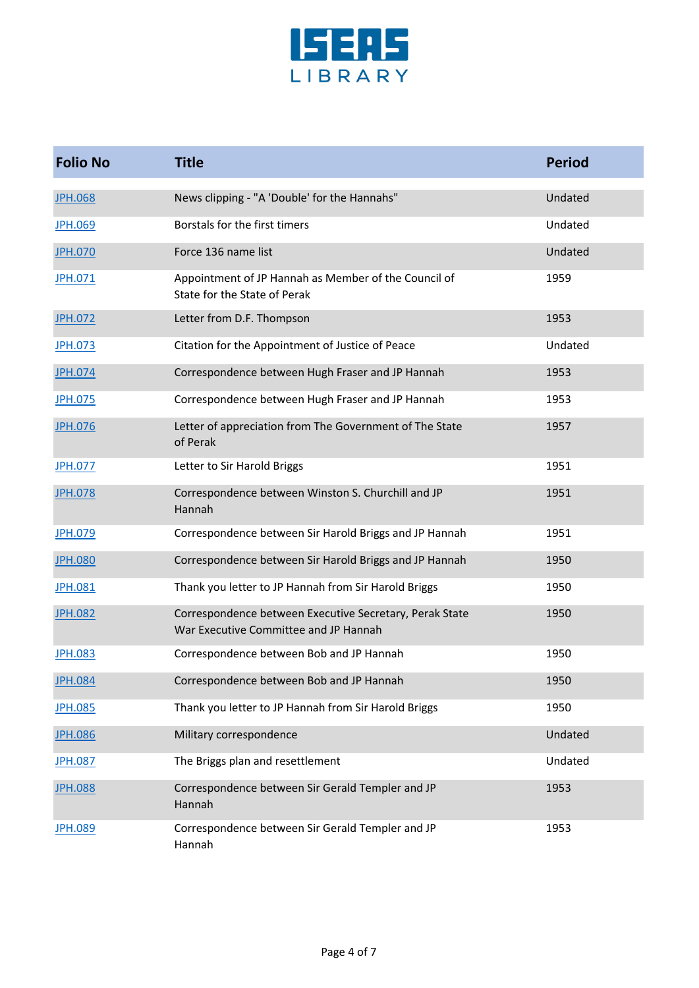

| <b>Folio No</b> | <b>Title</b>                                                                                     | <b>Period</b> |
|-----------------|--------------------------------------------------------------------------------------------------|---------------|
| <b>JPH.068</b>  | News clipping - "A 'Double' for the Hannahs"                                                     | Undated       |
| <b>JPH.069</b>  | Borstals for the first timers                                                                    | Undated       |
| <b>JPH.070</b>  | Force 136 name list                                                                              | Undated       |
| <b>JPH.071</b>  | Appointment of JP Hannah as Member of the Council of<br>State for the State of Perak             | 1959          |
| <b>JPH.072</b>  | Letter from D.F. Thompson                                                                        | 1953          |
| JPH.073         | Citation for the Appointment of Justice of Peace                                                 | Undated       |
| JPH.074         | Correspondence between Hugh Fraser and JP Hannah                                                 | 1953          |
| <b>JPH.075</b>  | Correspondence between Hugh Fraser and JP Hannah                                                 | 1953          |
| <b>JPH.076</b>  | Letter of appreciation from The Government of The State<br>of Perak                              | 1957          |
| <b>JPH.077</b>  | Letter to Sir Harold Briggs                                                                      | 1951          |
| <b>JPH.078</b>  | Correspondence between Winston S. Churchill and JP<br>Hannah                                     | 1951          |
| <b>JPH.079</b>  | Correspondence between Sir Harold Briggs and JP Hannah                                           | 1951          |
| <b>JPH.080</b>  | Correspondence between Sir Harold Briggs and JP Hannah                                           | 1950          |
| <b>JPH.081</b>  | Thank you letter to JP Hannah from Sir Harold Briggs                                             | 1950          |
| <b>JPH.082</b>  | Correspondence between Executive Secretary, Perak State<br>War Executive Committee and JP Hannah | 1950          |
| <b>JPH.083</b>  | Correspondence between Bob and JP Hannah                                                         | 1950          |
| <b>JPH.084</b>  | Correspondence between Bob and JP Hannah                                                         | 1950          |
| <b>JPH.085</b>  | Thank you letter to JP Hannah from Sir Harold Briggs                                             | 1950          |
| <b>JPH.086</b>  | Military correspondence                                                                          | Undated       |
| <b>JPH.087</b>  | The Briggs plan and resettlement                                                                 | Undated       |
| <b>JPH.088</b>  | Correspondence between Sir Gerald Templer and JP<br>Hannah                                       | 1953          |
| <b>JPH.089</b>  | Correspondence between Sir Gerald Templer and JP<br>Hannah                                       | 1953          |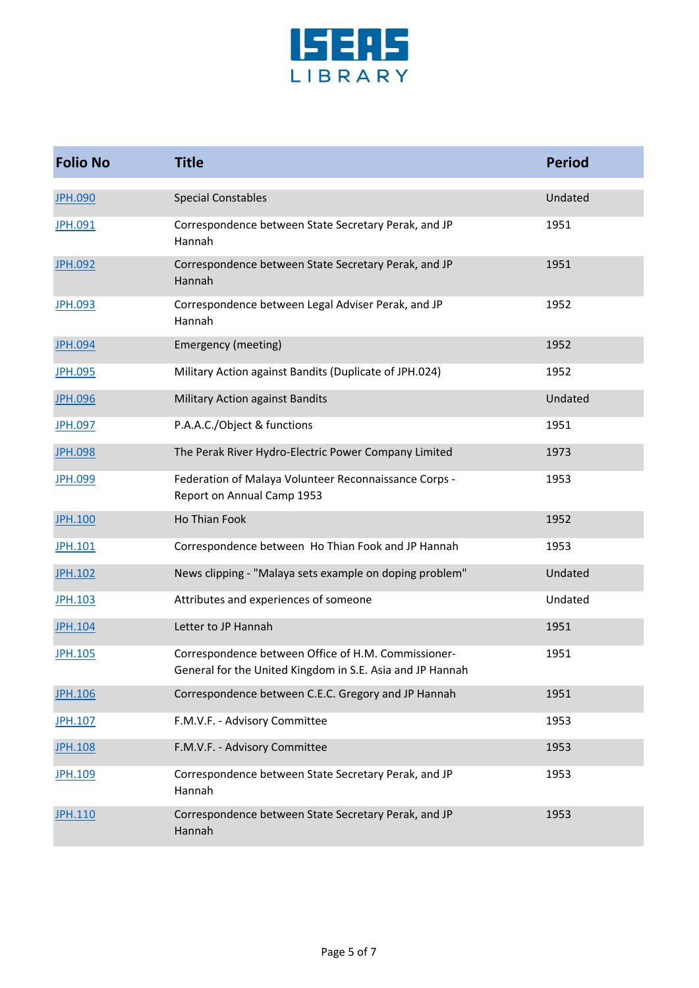

| <b>Folio No</b> | <b>Title</b>                                                                                                     | <b>Period</b> |
|-----------------|------------------------------------------------------------------------------------------------------------------|---------------|
| <b>JPH.090</b>  | <b>Special Constables</b>                                                                                        | Undated       |
| <b>JPH.091</b>  | Correspondence between State Secretary Perak, and JP<br>Hannah                                                   | 1951          |
| <b>JPH.092</b>  | Correspondence between State Secretary Perak, and JP<br>Hannah                                                   | 1951          |
| <b>JPH.093</b>  | Correspondence between Legal Adviser Perak, and JP<br>Hannah                                                     | 1952          |
| <b>JPH.094</b>  | Emergency (meeting)                                                                                              | 1952          |
| <b>JPH.095</b>  | Military Action against Bandits (Duplicate of JPH.024)                                                           | 1952          |
| <b>JPH.096</b>  | Military Action against Bandits                                                                                  | Undated       |
| <b>JPH.097</b>  | P.A.A.C./Object & functions                                                                                      | 1951          |
| <b>JPH.098</b>  | The Perak River Hydro-Electric Power Company Limited                                                             | 1973          |
| <b>JPH.099</b>  | Federation of Malaya Volunteer Reconnaissance Corps -<br>Report on Annual Camp 1953                              | 1953          |
| <b>JPH.100</b>  | Ho Thian Fook                                                                                                    | 1952          |
| JPH.101         | Correspondence between Ho Thian Fook and JP Hannah                                                               | 1953          |
| <b>JPH.102</b>  | News clipping - "Malaya sets example on doping problem"                                                          | Undated       |
| <b>JPH.103</b>  | Attributes and experiences of someone                                                                            | Undated       |
| <b>JPH.104</b>  | Letter to JP Hannah                                                                                              | 1951          |
| <b>JPH.105</b>  | Correspondence between Office of H.M. Commissioner-<br>General for the United Kingdom in S.E. Asia and JP Hannah | 1951          |
| <b>JPH.106</b>  | Correspondence between C.E.C. Gregory and JP Hannah                                                              | 1951          |
| <b>JPH.107</b>  | F.M.V.F. - Advisory Committee                                                                                    | 1953          |
| <b>JPH.108</b>  | F.M.V.F. - Advisory Committee                                                                                    | 1953          |
| <b>JPH.109</b>  | Correspondence between State Secretary Perak, and JP<br>Hannah                                                   | 1953          |
| <b>JPH.110</b>  | Correspondence between State Secretary Perak, and JP<br>Hannah                                                   | 1953          |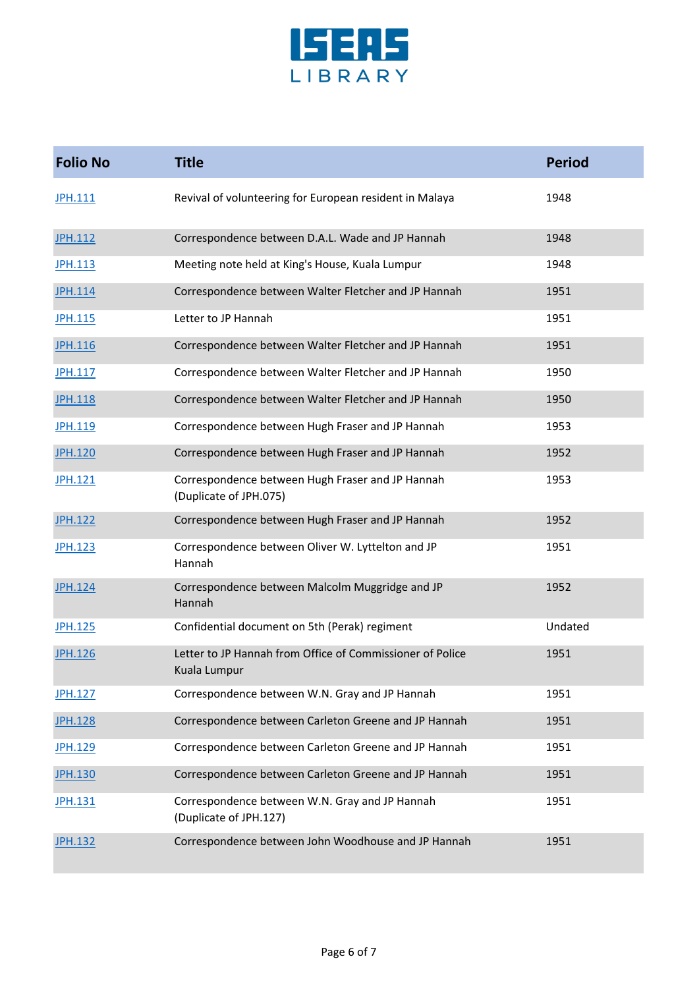

| <b>Folio No</b> | <b>Title</b>                                                               | <b>Period</b> |
|-----------------|----------------------------------------------------------------------------|---------------|
| JPH.111         | Revival of volunteering for European resident in Malaya                    | 1948          |
| <b>JPH.112</b>  | Correspondence between D.A.L. Wade and JP Hannah                           | 1948          |
| <b>JPH.113</b>  | Meeting note held at King's House, Kuala Lumpur                            | 1948          |
| <b>JPH.114</b>  | Correspondence between Walter Fletcher and JP Hannah                       | 1951          |
| <b>JPH.115</b>  | Letter to JP Hannah                                                        | 1951          |
| <b>JPH.116</b>  | Correspondence between Walter Fletcher and JP Hannah                       | 1951          |
| JPH.117         | Correspondence between Walter Fletcher and JP Hannah                       | 1950          |
| <b>JPH.118</b>  | Correspondence between Walter Fletcher and JP Hannah                       | 1950          |
| <b>JPH.119</b>  | Correspondence between Hugh Fraser and JP Hannah                           | 1953          |
| <b>JPH.120</b>  | Correspondence between Hugh Fraser and JP Hannah                           | 1952          |
| JPH.121         | Correspondence between Hugh Fraser and JP Hannah<br>(Duplicate of JPH.075) | 1953          |
| <b>JPH.122</b>  | Correspondence between Hugh Fraser and JP Hannah                           | 1952          |
| <b>JPH.123</b>  | Correspondence between Oliver W. Lyttelton and JP<br>Hannah                | 1951          |
| <b>JPH.124</b>  | Correspondence between Malcolm Muggridge and JP<br>Hannah                  | 1952          |
| <b>JPH.125</b>  | Confidential document on 5th (Perak) regiment                              | Undated       |
| <b>JPH.126</b>  | Letter to JP Hannah from Office of Commissioner of Police<br>Kuala Lumpur  | 1951          |
| <b>JPH.127</b>  | Correspondence between W.N. Gray and JP Hannah                             | 1951          |
| <b>JPH.128</b>  | Correspondence between Carleton Greene and JP Hannah                       | 1951          |
| <b>JPH.129</b>  | Correspondence between Carleton Greene and JP Hannah                       | 1951          |
| <b>JPH.130</b>  | Correspondence between Carleton Greene and JP Hannah                       | 1951          |
| JPH.131         | Correspondence between W.N. Gray and JP Hannah<br>(Duplicate of JPH.127)   | 1951          |
| <b>JPH.132</b>  | Correspondence between John Woodhouse and JP Hannah                        | 1951          |